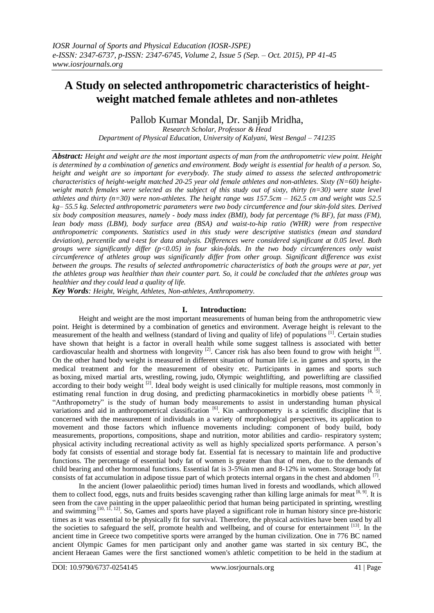# **A Study on selected anthropometric characteristics of heightweight matched female athletes and non-athletes**

Pallob Kumar Mondal, Dr. Sanjib Mridha, *Research Scholar, Professor & Head Department of Physical Education, University of Kalyani, West Bengal – 741235*

*Abstract: Height and weight are the most important aspects of man from the anthropometric view point. Height is determined by a combination of genetics and environment. Body weight is essential for health of a person. So, height and weight are so important for everybody. The study aimed to assess the selected anthropometric characteristics of height-weight matched 20-25 year old female athletes and non-athletes. Sixty (N=60) heightweight match females were selected as the subject of this study out of sixty, thirty (n=30) were state level athletes and thirty (n=30) were non-athletes. The height range was 157.5cm – 162.5 cm and weight was 52.5 kg– 55.5 kg. Selected anthropometric parameters were two body circumference and four skin-fold sites. Derived six body composition measures, namely - body mass index (BMI), body fat percentage (% BF), fat mass (FM), lean body mass (LBM), body surface area (BSA) and waist-to-hip ratio (WHR) were from respective anthropometric components. Statistics used in this study were descriptive statistics (mean and standard deviation), percentile and t-test for data analysis. Differences were considered significant at 0.05 level. Both groups were significantly differ (p<0.05) in four skin-folds. In the two body circumferences only waist circumference of athletes group was significantly differ from other group. Significant difference was exist between the groups. The results of selected anthropometric characteristics of both the groups were at par, yet the athletes group was healthier than their counter part. So, it could be concluded that the athletes group was healthier and they could lead a quality of life.*

*Key Words: Height, Weight, Athletes, Non-athletes, Anthropometry.*

### **I. Introduction:**

Height and weight are the most important measurements of human being from the anthropometric view point. Height is determined by a combination of genetics and environment. Average height is relevant to the measurement of the health and wellness [\(standard of living](http://en.wikipedia.org/wiki/Standard_of_living) and [quality of life\)](http://en.wikipedia.org/wiki/Quality_of_life) of populations [\[1\]](http://en.wikipedia.org/wiki/Human_height#cite_note-2). Certain studies have shown that height is a factor in overall health while some suggest tallness is associated with better cardiovascular health and shortness with longevity  $[2]$ . Cancer risk has also been found to grow with height  $[3]$ . On the other hand body weight is measured in different situation of human life i.e. in games and sports, in the medical treatment and for the measurement of obesity etc. Participants in games and sports such as [boxing,](https://en.wikipedia.org/wiki/Boxing) [mixed martial arts,](https://en.wikipedia.org/wiki/Mixed_martial_arts) [wrestling,](https://en.wikipedia.org/wiki/Wrestling) [rowing,](https://en.wikipedia.org/wiki/Rowing_(sport)) [judo,](https://en.wikipedia.org/wiki/Judo) [Olympic weightlifting,](https://en.wikipedia.org/wiki/Olympic_weightlifting) and [powerlifting](https://en.wikipedia.org/wiki/Powerlifting) are classified according to their body weight <sup>[2]</sup>. Ideal body weight is used clinically for multiple reasons, most commonly in estimating renal function in drug dosing, and predicting pharmacokinetics in morbidly obese patients  $[4, 5]$ . "Anthropometry" is the study of human body measurements to assist in understanding human physical variations and aid in anthropometrical classification <sup>[6]</sup>. Kin -anthropometry is a scientific discipline that is concerned with the measurement of individuals in a variety of morphological perspectives, its application to movement and those factors which influence movements including: component of body build, body measurements, proportions, compositions, shape and nutrition, motor abilities and cardio- respiratory system; physical activity including recreational activity as well as highly specialized sports performance. A person"s body fat consists of essential and storage body fat. Essential fat is necessary to maintain life and productive functions. The percentage of essential body fat of women is greater than that of men, due to the demands of child bearing and other hormonal functions. Essential fat is 3-5%in men and 8-12% in women. Storage body fat consists of fat accumulation in adipose tissue part of which protects internal organs in the chest and abdomen  $[7]$ .

In the ancient (lower palaeolithic period) times human lived in forests and woodlands, which allowed them to collect food, eggs, nuts and fruits besides scavenging rather than killing large animals for meat [8,9]. It is seen from the cave painting in the upper palaeolithic period that human being participated in sprinting, wrestling and swimming  $[10, 11, 12]$ . So, Games and sports have played a significant role in human history since pre-historic times as it was essential to be physically fit for survival. Therefore, the physical activities have been used by all the societies to safeguard the self, promote health and wellbeing, and of course for entertainment [13]. In the ancient time in Greece two competitive sports were arranged by the human civilization. One in 776 BC named ancient Olympic Games for men participant only and another game was started in six century BC, the ancient Heraean Games were the first sanctioned women's athletic competition to be held in the [stadium at](https://en.wikipedia.org/wiki/Stadium_at_Olympia)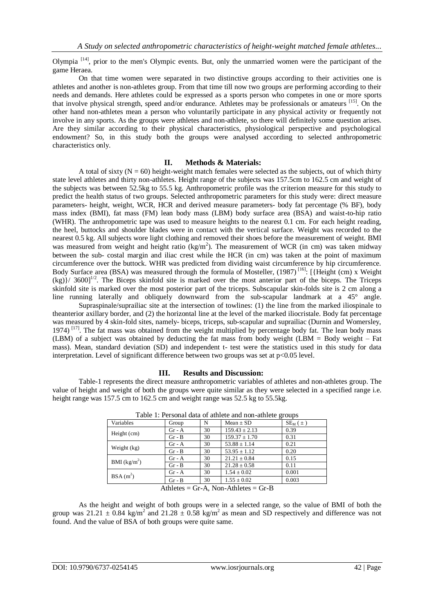Olympia <sup>[14]</sup>, prior to the men's Olympic events. But, only the unmarried women were the participant of the game Heraea.

On that time women were separated in two distinctive groups according to their activities one is athletes and another is non-athletes group. From that time till now two groups are performing according to their needs and demands. Here athletes could be expressed as a sports person who competes in one or more [sports](https://en.wikipedia.org/wiki/Sport) that involve [physical strength,](https://en.wikipedia.org/wiki/Physical_strength) speed and/or [endurance.](https://en.wikipedia.org/wiki/Endurance) Athletes may be [professionals](https://en.wikipedia.org/wiki/Professional_sports) or amateurs [\[15\]](https://en.wikipedia.org/wiki/Athlete#cite_note-1). On the other hand non-athletes mean a person who voluntarily participate in any physical activity or frequently not involve in any sports. As the groups were athletes and non-athlete, so there will definitely some question arises. Are they similar according to their physical characteristics, physiological perspective and psychological endowment? So, in this study both the groups were analysed according to selected anthropometric characteristics only.

#### **II. Methods & Materials:**

A total of sixty  $(N = 60)$  height-weight match females were selected as the subjects, out of which thirty state level athletes and thirty non-athletes. Height range of the subjects was 157.5cm to 162.5 cm and weight of the subjects was between 52.5kg to 55.5 kg. Anthropometric profile was the criterion measure for this study to predict the health status of two groups. Selected anthropometric parameters for this study were: direct measure parameters- height, weight, WCR, HCR and derived measure parameters- body fat percentage (% BF), body mass index (BMI), fat mass (FM) lean body mass (LBM) body surface area (BSA) and waist-to-hip ratio (WHR). The anthropometric tape was used to measure heights to the nearest 0.1 cm. For each height reading, the heel, buttocks and shoulder blades were in contact with the vertical surface. Weight was recorded to the nearest 0.5 kg. All subjects wore light clothing and removed their shoes before the measurement of weight. BMI was measured from weight and height ratio  $(kg/m<sup>2</sup>)$ . The measurement of WCR (in cm) was taken midway between the sub- costal margin and iliac crest while the HCR (in cm) was taken at the point of maximum circumference over the buttock. WHR was predicted from dividing waist circumference by hip circumference. Body Surface area (BSA) was measured through the formula of Mosteller, (1987)<sup>[16]</sup>: [{Height (cm) x Weight  $(kg)$ / 3600]<sup>1/2</sup>. The Biceps skinfold site is marked over the most anterior part of the biceps. The Triceps skinfold site is marked over the most posterior part of the triceps. Subscapular skin-folds site is 2 cm along a line running laterally and obliquely downward from the sub-scapular landmark at a 45° angle.

Supraspinale/suprailiac site at the intersection of towlines: (1) the line from the marked iliospinale to theanterior axillary border, and (2) the horizontal line at the level of the marked iliocristale. Body fat percentage was measured by 4 skin-fold sites, namely- biceps, triceps, sub-scapular and suprailiac (Durnin and Womersley, 1974)<sup>[17]</sup>. The fat mass was obtained from the weight multiplied by percentage body fat. The lean body mass (LBM) of a subject was obtained by deducting the fat mass from body weight (LBM = Body weight – Fat mass). Mean, standard deviation (SD) and independent t- test were the statistics used in this study for data interpretation. Level of significant difference between two groups was set at  $p \le 0.05$  level.

# **III. Results and Discussion:**

Table-1 represents the direct measure anthropometric variables of athletes and non-athletes group. The value of height and weight of both the groups were quite similar as they were selected in a specified range i.e. height range was 157.5 cm to 162.5 cm and weight range was 52.5 kg to 55.5kg.

| Twore it I elocated center of mullete alle hold wallete michel |          |    |                                                                      |               |  |  |  |  |
|----------------------------------------------------------------|----------|----|----------------------------------------------------------------------|---------------|--|--|--|--|
| Variables                                                      | Group    | N  | $Mean \pm SD$                                                        | $SE_{M}(\pm)$ |  |  |  |  |
| Height (cm)                                                    | $Gr - A$ | 30 | $159.43 \pm 2.13$                                                    | 0.39          |  |  |  |  |
|                                                                | $Gr - B$ | 30 | $159.37 \pm 1.70$                                                    | 0.31          |  |  |  |  |
|                                                                | $Gr - A$ | 30 | $53.88 \pm 1.14$                                                     | 0.21          |  |  |  |  |
| Weight (kg)                                                    | $Gr - B$ | 30 | $53.95 \pm 1.12$                                                     | 0.20          |  |  |  |  |
| BMI $(kg/m^2)$                                                 | $Gr - A$ | 30 | $21.21 \pm 0.84$                                                     | 0.15          |  |  |  |  |
|                                                                | $Gr - B$ | 30 | $21.28 \pm 0.58$                                                     | 0.11          |  |  |  |  |
| $BSA(m^2)$                                                     | $Gr - A$ | 30 | $1.54 \pm 0.02$                                                      | 0.001         |  |  |  |  |
|                                                                | $Gr - B$ | 30 | $1.55 \pm 0.02$                                                      | 0.003         |  |  |  |  |
|                                                                | $\cdots$ |    | $\sim$ $\sim$ $\sim$ $\sim$ $\sim$ $\sim$ $\sim$<br>$\sim$<br>$\sim$ |               |  |  |  |  |

Table 1: Personal data of athlete and non-athlete groups

Athletes =  $Gr-A$ , Non-Athletes =  $Gr-B$ 

As the height and weight of both groups were in a selected range, so the value of BMI of both the group was 21.21  $\pm$  0.84 kg/m<sup>2</sup> and 21.28  $\pm$  0.58 kg/m<sup>2</sup> as mean and SD respectively and difference was not found. And the value of BSA of both groups were quite same.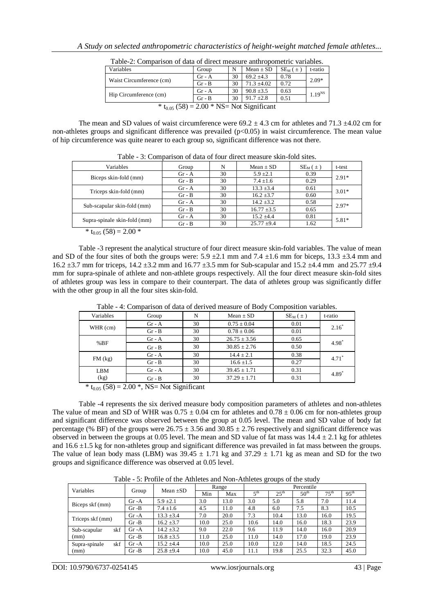| Taon-2. Comparison of data of un cet measure anunopomente variables. |          |    |                 |               |             |  |  |  |
|----------------------------------------------------------------------|----------|----|-----------------|---------------|-------------|--|--|--|
| Variables                                                            | Group    | N  | $Mean \pm SD$   | $SE_{M}(\pm)$ | t-ratio     |  |  |  |
|                                                                      | $Gr - A$ | 30 | $69.2 + 4.3$    | 0.78          | $2.09*$     |  |  |  |
| Waist Circumference (cm)                                             | $Gr - B$ | 30 | $71.3 \pm 4.02$ | 0.72          |             |  |  |  |
|                                                                      | $Gr - A$ | 30 | $90.8 \pm 3.5$  | 0.63          | $1.19^{NS}$ |  |  |  |
| Hip Circumference (cm)                                               | $Gr - B$ | 30 | $91.7 \pm 2.8$  | 0.51          |             |  |  |  |
| * $t_{0.05}$ (58) = 2.00 * NS= Not Significant                       |          |    |                 |               |             |  |  |  |

Table-2: Comparison of data of direct measure anthropometric variables.

The mean and SD values of waist circumference were  $69.2 \pm 4.3$  cm for athletes and 71.3  $\pm 4.02$  cm for non-athletes groups and significant difference was prevailed  $(p<0.05)$  in waist circumference. The mean value of hip circumference was quite nearer to each group so, significant difference was not there.

| Variables                    | Group    | N  | Mean $\pm$ SD   | $SE_{M}(\pm)$ | t-test  |
|------------------------------|----------|----|-----------------|---------------|---------|
|                              | $Gr - A$ | 30 | $5.9 \pm 2.1$   | 0.39          | $2.91*$ |
| Biceps skin-fold (mm)        | $Gr - B$ | 30 | $7.4 \pm 1.6$   | 0.29          |         |
| Triceps skin-fold (mm)       | $Gr - A$ | 30 | $13.3 \pm 3.4$  | 0.61          | $3.01*$ |
|                              | $Gr - B$ | 30 | $16.2 \pm 3.7$  | 0.60          |         |
| Sub-scapular skin-fold (mm)  | $Gr - A$ | 30 | $14.2 \pm 3.2$  | 0.58          | $2.97*$ |
|                              | $Gr - B$ | 30 | $16.77 \pm 3.5$ | 0.65          |         |
| Supra-spinale skin-fold (mm) | $Gr - A$ | 30 | $15.2 \pm 4.4$  | 0.81          | $5.81*$ |
|                              | $Gr - B$ | 30 | $25.77 \pm 9.4$ | 1.62          |         |
| (50)<br>0.004<br>$\sim$      |          |    |                 |               |         |

Table - 3: Comparison of data of four direct measure skin-fold sites.

 $*$  t<sub>0.05</sub> (58) = 2.00  $*$ 

Table -3 represent the analytical structure of four direct measure skin-fold variables. The value of mean and SD of the four sites of both the groups were:  $5.9 \pm 2.1$  mm and  $7.4 \pm 1.6$  mm for biceps,  $13.3 \pm 3.4$  mm and 16.2  $\pm$ 3.7 mm for triceps, 14.2  $\pm$ 3.2 mm and 16.77  $\pm$ 3.5 mm for Sub-scapular and 15.2  $\pm$ 4.4 mm and 25.77  $\pm$ 9.4 mm for supra-spinale of athlete and non-athlete groups respectively. All the four direct measure skin-fold sites of athletes group was less in compare to their counterpart. The data of athletes group was significantly differ with the other group in all the four sites skin-fold.

| Variables   | Group    | N  | Mean $\pm$ SD    | $SE_{M}(\pm)$ | t-ratio             |  |
|-------------|----------|----|------------------|---------------|---------------------|--|
|             | $Gr - A$ | 30 | $0.75 \pm 0.04$  | 0.01          | $2.16*$             |  |
| WHR (cm)    | $Gr - B$ | 30 | $0.78 \pm 0.06$  | 0.01          |                     |  |
|             | $Gr - A$ | 30 | $26.75 \pm 3.56$ | 0.65          |                     |  |
| %BF         | $Gr - B$ | 30 | $30.85 \pm 2.76$ | 0.50          | 4.98                |  |
|             | $Gr - A$ | 30 | $14.4 \pm 2.1$   | 0.38          | $4.71$ <sup>*</sup> |  |
| $FM$ $(kg)$ | $Gr - B$ | 30 | $16.6 \pm 1.5$   | 0.27          |                     |  |
| LBM         | $Gr - A$ | 30 | $39.45 \pm 1.71$ | 0.31          | 4.89                |  |
| (kg)        | $Gr - B$ | 30 | $37.29 \pm 1.71$ | 0.31          |                     |  |

Table - 4: Comparison of data of derived measure of Body Composition variables.

 $*$  t<sub>0.05</sub> (58) = 2.00  $*$ , NS= Not Significant

Table -4 represents the six derived measure body composition parameters of athletes and non-athletes The value of mean and SD of WHR was  $0.75 \pm 0.04$  cm for athletes and  $0.78 \pm 0.06$  cm for non-athletes group and significant difference was observed between the group at 0.05 level. The mean and SD value of body fat percentage (% BF) of the groups were  $26.75 \pm 3.56$  and  $30.85 \pm 2.76$  respectively and significant difference was observed in between the groups at 0.05 level. The mean and SD value of fat mass was  $14.4 \pm 2.1$  kg for athletes and  $16.6 \pm 1.5$  kg for non-athletes group and significant difference was prevailed in fat mass between the groups. The value of lean body mass (LBM) was  $39.45 \pm 1.71$  kg and  $37.29 \pm 1.71$  kg as mean and SD for the two groups and significance difference was observed at 0.05 level.

Table - 5: Profile of the Athletes and Non-Athletes groups of the study

| Variables            |          | Mean $\pm SD$  | Range |      | Percentile      |                  |                  |                  |                  |
|----------------------|----------|----------------|-------|------|-----------------|------------------|------------------|------------------|------------------|
|                      | Group    |                | Min   | Max  | 5 <sup>th</sup> | $25^{\text{th}}$ | 50 <sup>th</sup> | $75^{\text{th}}$ | $95^{\text{th}}$ |
| Biceps skf (mm)      | $Gr-A$   | $5.9 \pm 2.1$  | 3.0   | 13.0 | 3.0             | 5.0              | 5.8              | 7.0              | 11.4             |
|                      | $Gr - B$ | $7.4 \pm 1.6$  | 4.5   | 11.0 | 4.8             | 6.0              | 7.5              | 8.3              | 10.5             |
| Triceps skf (mm)     | $Gr-A$   | $13.3 \pm 3.4$ | 7.0   | 20.0 | 7.3             | 10.4             | 13.0             | 16.0             | 19.5             |
|                      | $Gr - B$ | $16.2 \pm 3.7$ | 10.0  | 25.0 | 10.6            | 14.0             | 16.0             | 18.3             | 23.9             |
| skf<br>Sub-scapular  | $Gr-A$   | $14.2 \pm 3.2$ | 9.0   | 22.0 | 9.6             | 11.9             | 14.0             | 16.0             | 20.9             |
| (mm)                 | $Gr - B$ | $16.8 \pm 3.5$ | 11.0  | 25.0 | 11.0            | 14.0             | 17.0             | 19.0             | 23.9             |
| skf<br>Supra-spinale | $Gr-A$   | $15.2 \pm 4.4$ | 10.0  | 25.0 | 10.0            | 12.0             | 14.0             | 18.5             | 24.5             |
| (mm)                 | $Gr - B$ | $25.8 \pm 9.4$ | 10.0  | 45.0 | 11.1            | 19.8             | 25.5             | 32.3             | 45.0             |

DOI: 10.9790/6737-0254145 www.iosrjournals.org 43 | Page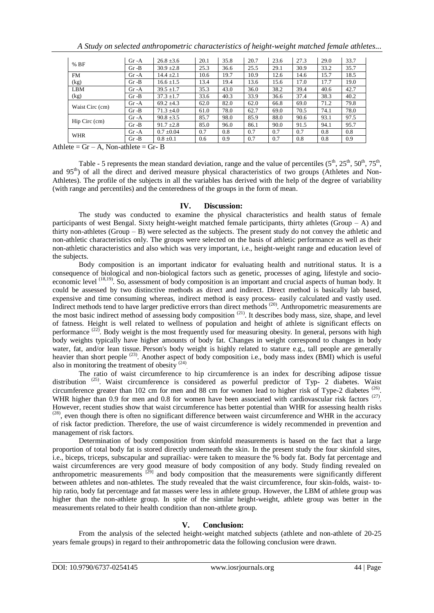| %BF             | $Gr-A$   | $26.8 \pm 3.6$ | 20.1 | 35.8 | 20.7 | 23.6 | 27.3 | 29.0 | 33.7 |
|-----------------|----------|----------------|------|------|------|------|------|------|------|
|                 | $Gr - B$ | $30.9 \pm 2.8$ | 25.3 | 36.6 | 25.5 | 29.1 | 30.9 | 33.2 | 35.7 |
| <b>FM</b>       | $Gr-A$   | $14.4 \pm 2.1$ | 10.6 | 19.7 | 10.9 | 12.6 | 14.6 | 15.7 | 18.5 |
| (kg)            | $Gr - B$ | $16.6 \pm 1.5$ | 13.4 | 19.4 | 13.6 | 15.6 | 17.0 | 17.7 | 19.0 |
| <b>LBM</b>      | $Gr-A$   | $39.5 \pm 1.7$ | 35.3 | 43.0 | 36.0 | 38.2 | 39.4 | 40.6 | 42.7 |
| (kg)            | $Gr - B$ | $37.3 \pm 1.7$ | 33.6 | 40.3 | 33.9 | 36.6 | 37.4 | 38.3 | 40.2 |
| Waist Circ (cm) | $Gr-A$   | $69.2 \pm 4.3$ | 62.0 | 82.0 | 62.0 | 66.8 | 69.0 | 71.2 | 79.8 |
|                 | $Gr - B$ | $71.3 \pm 4.0$ | 61.0 | 78.0 | 62.7 | 69.0 | 70.5 | 74.1 | 78.0 |
|                 | $Gr-A$   | $90.8 \pm 3.5$ | 85.7 | 98.0 | 85.9 | 88.0 | 90.6 | 93.1 | 97.5 |
| Hip Circ (cm)   | $Gr - B$ | $91.7 \pm 2.8$ | 85.0 | 96.0 | 86.1 | 90.0 | 91.5 | 94.1 | 95.7 |
| WHR             | $Gr-A$   | $0.7 \pm 0.04$ | 0.7  | 0.8  | 0.7  | 0.7  | 0.7  | 0.8  | 0.8  |
|                 | $Gr - B$ | $0.8 \pm 0.1$  | 0.6  | 0.9  | 0.7  | 0.7  | 0.8  | 0.8  | 0.9  |

*A Study on selected anthropometric characteristics of height-weight matched female athletes...*

Athlete =  $Gr - A$ , Non-athlete =  $Gr - B$ 

Table - 5 represents the mean standard deviation, range and the value of percentiles  $(5^{th}, 25^{th}, 50^{th}, 75^{th},$ and 95<sup>th</sup>) of all the direct and derived measure physical characteristics of two groups (Athletes and Non-Athletes). The profile of the subjects in all the variables has derived with the help of the degree of variability (with range and percentiles) and the centeredness of the groups in the form of mean.

#### **IV. Discussion:**

The study was conducted to examine the physical characteristics and health status of female participants of west Bengal. Sixty height-weight matched female participants, thirty athletes (Group  $- A$ ) and thirty non-athletes (Group – B) were selected as the subjects. The present study do not convey the athletic and non-athletic characteristics only. The groups were selected on the basis of athletic performance as well as their non-athletic characteristics and also which was very important, i.e., height-weight range and education level of the subjects.

Body composition is an important indicator for evaluating health and nutritional status. It is a consequence of biological and non-biological factors such as genetic, processes of aging, lifestyle and socioeconomic level <sup>(18,19)</sup>. So, assessment of body composition is an important and crucial aspects of human body. It could be assessed by two distinctive methods as direct and indirect. Direct method is basically lab based, expensive and time consuming whereas, indirect method is easy process- easily calculated and vastly used. Indirect methods tend to have larger predictive errors than direct methods<sup>(20)</sup>. Anthropometric measurements are the most basic indirect method of assessing body composition  $(21)$ . It describes body mass, size, shape, and level of fatness. Height is well related to wellness of population and height of athlete is significant effects on performance  $(22)$ . Body weight is the most frequently used for measuring obesity. In general, persons with high body weights typically have higher amounts of body fat. Changes in weight correspond to changes in body water, fat, and/or lean tissue. Person's body weight is highly related to stature e.g., tall people are generally heavier than short people <sup>(23)</sup>. Another aspect of body composition i.e., body mass index (BMI) which is useful also in monitoring the treatment of obesity  $(24)$ .

The ratio of waist circumference to hip circumference is an index for describing adipose tissue distribution<sup>(25)</sup>. Waist circumference is considered as powerful predictor of Typ- 2 diabetes. Waist circumference greater than 102 cm for men and 88 cm for women lead to higher risk of Type-2 diabetes  $(26)$ . WHR higher than 0.9 for men and 0.8 for women have been associated with cardiovascular risk factors <sup>(27)</sup>. However, recent studies show that waist circumference has better potential than WHR for assessing health risks  $(28)$ , even though there is often no significant difference between waist circumference and WHR in the accuracy of risk factor prediction. Therefore, the use of waist circumference is widely recommended in prevention and management of risk factors.

Determination of body composition from skinfold measurements is based on the fact that a large proportion of total body fat is stored directly underneath the skin. In the present study the four skinfold sites, i.e., biceps, triceps, subscapular and suprailiac- were taken to measure the % body fat. Body fat percentage and waist circumferences are very good measure of body composition of any body. Study finding revealed on anthropometric measurements <sup>[29]</sup> and body composition that the measurements were significantly different between athletes and non-athletes. The study revealed that the waist circumference, four skin-folds, waist- tohip ratio, body fat percentage and fat masses were less in athlete group. However, the LBM of athlete group was higher than the non-athlete group. In spite of the similar height-weight, athlete group was better in the measurements related to their health condition than non-athlete group.

# **V. Conclusion:**

From the analysis of the selected height-weight matched subjects (athlete and non-athlete of 20-25 years female groups) in regard to their anthropometric data the following conclusion were drawn.